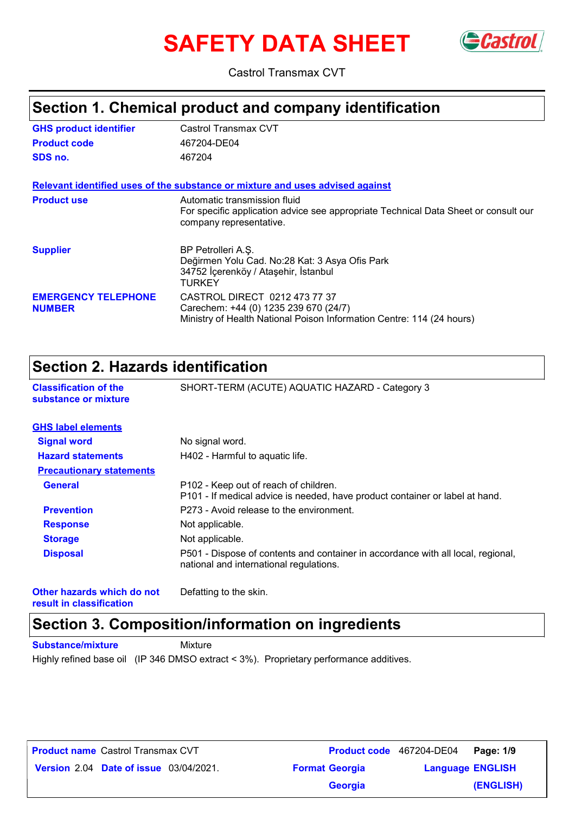# **SAFETY DATA SHEET** GCastrol



Castrol Transmax CVT

### **Section 1. Chemical product and company identification**

| <b>GHS product identifier</b>               | Castrol Transmax CVT                                                                                                                            |
|---------------------------------------------|-------------------------------------------------------------------------------------------------------------------------------------------------|
| <b>Product code</b>                         | 467204-DE04                                                                                                                                     |
| SDS no.                                     | 467204                                                                                                                                          |
|                                             | Relevant identified uses of the substance or mixture and uses advised against                                                                   |
| <b>Product use</b>                          | Automatic transmission fluid<br>For specific application advice see appropriate Technical Data Sheet or consult our<br>company representative.  |
| <b>Supplier</b>                             | BP Petrolleri A.S.<br>Değirmen Yolu Cad. No:28 Kat: 3 Asya Ofis Park<br>34752 İçerenköy / Ataşehir, İstanbul<br>TURKEY                          |
| <b>EMERGENCY TELEPHONE</b><br><b>NUMBER</b> | CASTROL DIRECT 0212 473 77 37<br>Carechem: +44 (0) 1235 239 670 (24/7)<br>Ministry of Health National Poison Information Centre: 114 (24 hours) |

### **Section 2. Hazards identification**

| Secuon 2. Hazarus identification                     |                                                                                                                                   |  |
|------------------------------------------------------|-----------------------------------------------------------------------------------------------------------------------------------|--|
| <b>Classification of the</b><br>substance or mixture | SHORT-TERM (ACUTE) AQUATIC HAZARD - Category 3                                                                                    |  |
| <b>GHS label elements</b>                            |                                                                                                                                   |  |
| <b>Signal word</b>                                   | No signal word.                                                                                                                   |  |
| <b>Hazard statements</b>                             | H402 - Harmful to aquatic life.                                                                                                   |  |
| <b>Precautionary statements</b>                      |                                                                                                                                   |  |
| <b>General</b>                                       | P <sub>102</sub> - Keep out of reach of children.<br>P101 - If medical advice is needed, have product container or label at hand. |  |
| <b>Prevention</b>                                    | P273 - Avoid release to the environment.                                                                                          |  |
| <b>Response</b>                                      | Not applicable.                                                                                                                   |  |
| <b>Storage</b>                                       | Not applicable.                                                                                                                   |  |
| <b>Disposal</b>                                      | P501 - Dispose of contents and container in accordance with all local, regional,<br>national and international regulations.       |  |

**Other hazards which do not result in classification**

Defatting to the skin.

### **Section 3. Composition/information on ingredients**

**Substance/mixture Mixture** 

Highly refined base oil (IP 346 DMSO extract < 3%). Proprietary performance additives.

| <b>Product name Castrol Transmax CVT</b>      |                       | Product code 467204-DE04 Page: 1/9 |                         |
|-----------------------------------------------|-----------------------|------------------------------------|-------------------------|
| <b>Version 2.04 Date of issue 03/04/2021.</b> | <b>Format Georgia</b> |                                    | <b>Language ENGLISH</b> |
|                                               | <b>Georgia</b>        |                                    | (ENGLISH)               |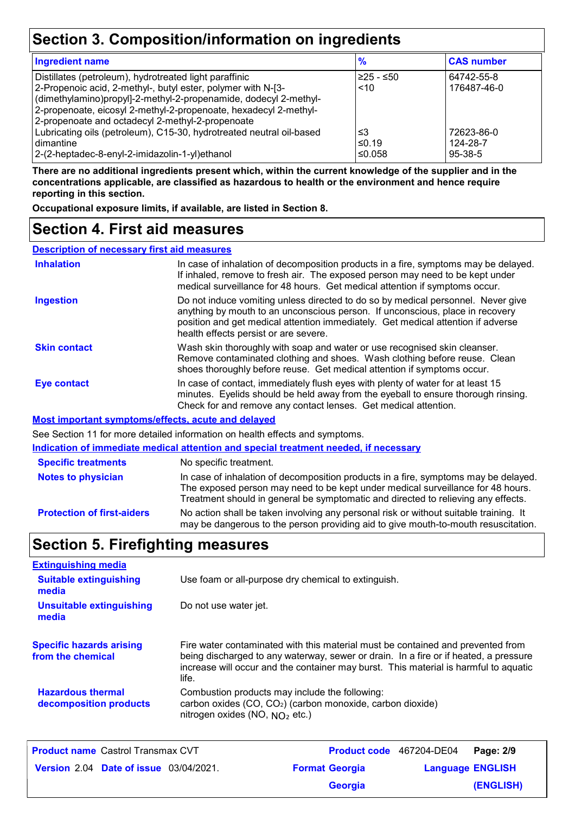### **Section 3. Composition/information on ingredients**

| <b>Ingredient name</b>                                               | $\frac{9}{6}$ | <b>CAS number</b> |
|----------------------------------------------------------------------|---------------|-------------------|
| Distillates (petroleum), hydrotreated light paraffinic               | $≥25 - ≤50$   | 64742-55-8        |
| 2-Propenoic acid, 2-methyl-, butyl ester, polymer with N-[3-         | ~10           | 176487-46-0       |
| (dimethylamino)propyl]-2-methyl-2-propenamide, dodecyl 2-methyl-     |               |                   |
| 2-propenoate, eicosyl 2-methyl-2-propenoate, hexadecyl 2-methyl-     |               |                   |
| 2-propenoate and octadecyl 2-methyl-2-propenoate                     |               |                   |
| Lubricating oils (petroleum), C15-30, hydrotreated neutral oil-based | ≤3            | 72623-86-0        |
| l dimantine                                                          | ≤0.19         | 124-28-7          |
| 2-(2-heptadec-8-enyl-2-imidazolin-1-yl)ethanol                       | ≤0.058        | $95-38-5$         |

**There are no additional ingredients present which, within the current knowledge of the supplier and in the concentrations applicable, are classified as hazardous to health or the environment and hence require reporting in this section.**

**Occupational exposure limits, if available, are listed in Section 8.**

### **Section 4. First aid measures**

**Description of necessary first aid measures**

| <b>Inhalation</b>                                  | In case of inhalation of decomposition products in a fire, symptoms may be delayed.<br>If inhaled, remove to fresh air. The exposed person may need to be kept under<br>medical surveillance for 48 hours. Get medical attention if symptoms occur.                                            |
|----------------------------------------------------|------------------------------------------------------------------------------------------------------------------------------------------------------------------------------------------------------------------------------------------------------------------------------------------------|
| <b>Ingestion</b>                                   | Do not induce vomiting unless directed to do so by medical personnel. Never give<br>anything by mouth to an unconscious person. If unconscious, place in recovery<br>position and get medical attention immediately. Get medical attention if adverse<br>health effects persist or are severe. |
| <b>Skin contact</b>                                | Wash skin thoroughly with soap and water or use recognised skin cleanser.<br>Remove contaminated clothing and shoes. Wash clothing before reuse. Clean<br>shoes thoroughly before reuse. Get medical attention if symptoms occur.                                                              |
| Eye contact                                        | In case of contact, immediately flush eyes with plenty of water for at least 15<br>minutes. Eyelids should be held away from the eyeball to ensure thorough rinsing.<br>Check for and remove any contact lenses. Get medical attention.                                                        |
| Most important symptoms/effects, acute and delayed |                                                                                                                                                                                                                                                                                                |
|                                                    | See Section 11 for more detailed information on health effects and symptoms.                                                                                                                                                                                                                   |
|                                                    | Indication of immediate medical attention and special treatment needed, if necessary                                                                                                                                                                                                           |
| <b>Specific treatments</b>                         | No specific treatment.                                                                                                                                                                                                                                                                         |
| Notoe to physician                                 | In case of inhalation of decomposition products in a fire symptoms may be delayed                                                                                                                                                                                                              |

**Protection of first-aiders** No action shall be taken involving any personal risk or without suitable training. It may be dangerous to the person providing aid to give mouth-to-mouth resuscitation. **Notes to physician** In case of inhalation of decomposition products in a fire, symptoms may be delayed. The exposed person may need to be kept under medical surveillance for 48 hours. Treatment should in general be symptomatic and directed to relieving any effects.

### **Section 5. Firefighting measures**

| <b>Extinguishing media</b>                           |                                                                                                                                                                                                                                                                          |
|------------------------------------------------------|--------------------------------------------------------------------------------------------------------------------------------------------------------------------------------------------------------------------------------------------------------------------------|
| <b>Suitable extinguishing</b><br>media               | Use foam or all-purpose dry chemical to extinguish.                                                                                                                                                                                                                      |
| <b>Unsuitable extinguishing</b><br>media             | Do not use water jet.                                                                                                                                                                                                                                                    |
| <b>Specific hazards arising</b><br>from the chemical | Fire water contaminated with this material must be contained and prevented from<br>being discharged to any waterway, sewer or drain. In a fire or if heated, a pressure<br>increase will occur and the container may burst. This material is harmful to aquatic<br>life. |
| <b>Hazardous thermal</b><br>decomposition products   | Combustion products may include the following:<br>carbon oxides (CO, CO <sub>2</sub> ) (carbon monoxide, carbon dioxide)<br>nitrogen oxides (NO, $NO2$ etc.)                                                                                                             |

| <b>Product name</b> Castrol Transmax CVT      |                       | Product code 467204-DE04 Page: 2/9 |                         |
|-----------------------------------------------|-----------------------|------------------------------------|-------------------------|
| <b>Version 2.04 Date of issue 03/04/2021.</b> | <b>Format Georgia</b> |                                    | <b>Language ENGLISH</b> |
|                                               | Georgia               |                                    | (ENGLISH)               |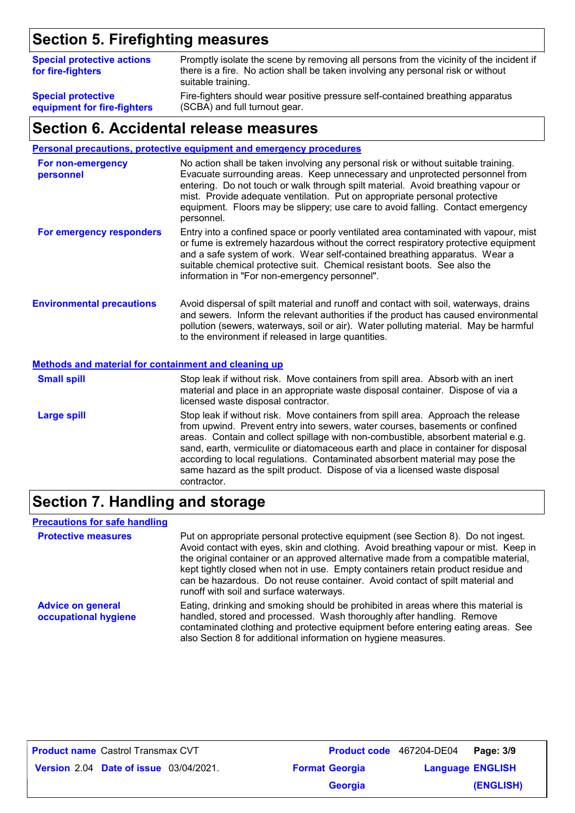### **Section 5. Firefighting measures**

| <b>Special protective actions</b><br>for fire-fighters | Promptly isolate the scene by removing all persons from the vicinity of the incident if<br>there is a fire. No action shall be taken involving any personal risk or without<br>suitable training. |
|--------------------------------------------------------|---------------------------------------------------------------------------------------------------------------------------------------------------------------------------------------------------|
| <b>Special protective</b>                              | Fire-fighters should wear positive pressure self-contained breathing apparatus                                                                                                                    |
| equipment for fire-fighters                            | (SCBA) and full turnout gear.                                                                                                                                                                     |

### **Section 6. Accidental release measures**

#### **Personal precautions, protective equipment and emergency procedures**

| For non-emergency<br>personnel   | No action shall be taken involving any personal risk or without suitable training.<br>Evacuate surrounding areas. Keep unnecessary and unprotected personnel from<br>entering. Do not touch or walk through spilt material. Avoid breathing vapour or<br>mist. Provide adequate ventilation. Put on appropriate personal protective<br>equipment. Floors may be slippery; use care to avoid falling. Contact emergency<br>personnel. |
|----------------------------------|--------------------------------------------------------------------------------------------------------------------------------------------------------------------------------------------------------------------------------------------------------------------------------------------------------------------------------------------------------------------------------------------------------------------------------------|
| For emergency responders         | Entry into a confined space or poorly ventilated area contaminated with vapour, mist<br>or fume is extremely hazardous without the correct respiratory protective equipment<br>and a safe system of work. Wear self-contained breathing apparatus. Wear a<br>suitable chemical protective suit. Chemical resistant boots. See also the<br>information in "For non-emergency personnel".                                              |
| <b>Environmental precautions</b> | Avoid dispersal of spilt material and runoff and contact with soil, waterways, drains<br>and sewers. Inform the relevant authorities if the product has caused environmental<br>pollution (sewers, waterways, soil or air). Water polluting material. May be harmful<br>to the environment if released in large quantities.                                                                                                          |

#### **Methods and material for containment and cleaning up**

| <b>Small spill</b> | Stop leak if without risk. Move containers from spill area. Absorb with an inert<br>material and place in an appropriate waste disposal container. Dispose of via a<br>licensed waste disposal contractor.                                                                                                                                                                                                                                                                                                               |
|--------------------|--------------------------------------------------------------------------------------------------------------------------------------------------------------------------------------------------------------------------------------------------------------------------------------------------------------------------------------------------------------------------------------------------------------------------------------------------------------------------------------------------------------------------|
| <b>Large spill</b> | Stop leak if without risk. Move containers from spill area. Approach the release<br>from upwind. Prevent entry into sewers, water courses, basements or confined<br>areas. Contain and collect spillage with non-combustible, absorbent material e.g.<br>sand, earth, vermiculite or diatomaceous earth and place in container for disposal<br>according to local regulations. Contaminated absorbent material may pose the<br>same hazard as the spilt product. Dispose of via a licensed waste disposal<br>contractor. |

### **Section 7. Handling and storage**

#### **Precautions for safe handling**

| <b>Protective measures</b>                       | Put on appropriate personal protective equipment (see Section 8). Do not ingest.<br>Avoid contact with eyes, skin and clothing. Avoid breathing vapour or mist. Keep in<br>the original container or an approved alternative made from a compatible material,<br>kept tightly closed when not in use. Empty containers retain product residue and<br>can be hazardous. Do not reuse container. Avoid contact of spilt material and<br>runoff with soil and surface waterways. |
|--------------------------------------------------|-------------------------------------------------------------------------------------------------------------------------------------------------------------------------------------------------------------------------------------------------------------------------------------------------------------------------------------------------------------------------------------------------------------------------------------------------------------------------------|
| <b>Advice on general</b><br>occupational hygiene | Eating, drinking and smoking should be prohibited in areas where this material is<br>handled, stored and processed. Wash thoroughly after handling. Remove<br>contaminated clothing and protective equipment before entering eating areas. See<br>also Section 8 for additional information on hygiene measures.                                                                                                                                                              |

| <b>Product name Castrol Transmax CVT</b> |                                               |                       |         | <b>Product code</b> 467204-DE04 Page: 3/9 |           |
|------------------------------------------|-----------------------------------------------|-----------------------|---------|-------------------------------------------|-----------|
|                                          | <b>Version 2.04 Date of issue 03/04/2021.</b> | <b>Format Georgia</b> |         | <b>Language ENGLISH</b>                   |           |
|                                          |                                               |                       | Georgia |                                           | (ENGLISH) |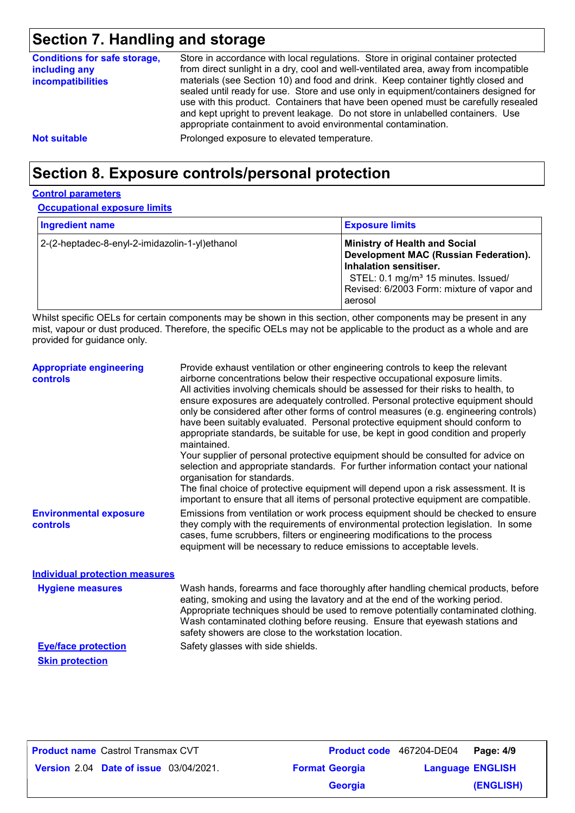### **Section 7. Handling and storage**

| <b>Conditions for safe storage,</b><br>including any<br><b>incompatibilities</b> | Store in accordance with local regulations. Store in original container protected<br>from direct sunlight in a dry, cool and well-ventilated area, away from incompatible<br>materials (see Section 10) and food and drink. Keep container tightly closed and<br>sealed until ready for use. Store and use only in equipment/containers designed for<br>use with this product. Containers that have been opened must be carefully resealed<br>and kept upright to prevent leakage. Do not store in unlabelled containers. Use<br>appropriate containment to avoid environmental contamination. |
|----------------------------------------------------------------------------------|------------------------------------------------------------------------------------------------------------------------------------------------------------------------------------------------------------------------------------------------------------------------------------------------------------------------------------------------------------------------------------------------------------------------------------------------------------------------------------------------------------------------------------------------------------------------------------------------|
| <b>Not suitable</b>                                                              | Prolonged exposure to elevated temperature.                                                                                                                                                                                                                                                                                                                                                                                                                                                                                                                                                    |

### **Section 8. Exposure controls/personal protection**

### **Control parameters**

**Occupational exposure limits**

| <b>Ingredient name</b>                         | <b>Exposure limits</b>                                                                                                                                                                                              |
|------------------------------------------------|---------------------------------------------------------------------------------------------------------------------------------------------------------------------------------------------------------------------|
| 2-(2-heptadec-8-enyl-2-imidazolin-1-yl)ethanol | <b>Ministry of Health and Social</b><br>Development MAC (Russian Federation).<br>Inhalation sensitiser.<br>STEL: 0.1 mg/m <sup>3</sup> 15 minutes. Issued/<br>Revised: 6/2003 Form: mixture of vapor and<br>aerosol |

Whilst specific OELs for certain components may be shown in this section, other components may be present in any mist, vapour or dust produced. Therefore, the specific OELs may not be applicable to the product as a whole and are provided for guidance only.

| <b>Appropriate engineering</b><br><b>controls</b> | Provide exhaust ventilation or other engineering controls to keep the relevant<br>airborne concentrations below their respective occupational exposure limits.<br>All activities involving chemicals should be assessed for their risks to health, to<br>ensure exposures are adequately controlled. Personal protective equipment should<br>only be considered after other forms of control measures (e.g. engineering controls)<br>have been suitably evaluated. Personal protective equipment should conform to<br>appropriate standards, be suitable for use, be kept in good condition and properly<br>maintained.<br>Your supplier of personal protective equipment should be consulted for advice on<br>selection and appropriate standards. For further information contact your national<br>organisation for standards.<br>The final choice of protective equipment will depend upon a risk assessment. It is<br>important to ensure that all items of personal protective equipment are compatible. |
|---------------------------------------------------|---------------------------------------------------------------------------------------------------------------------------------------------------------------------------------------------------------------------------------------------------------------------------------------------------------------------------------------------------------------------------------------------------------------------------------------------------------------------------------------------------------------------------------------------------------------------------------------------------------------------------------------------------------------------------------------------------------------------------------------------------------------------------------------------------------------------------------------------------------------------------------------------------------------------------------------------------------------------------------------------------------------|
| <b>Environmental exposure</b><br><b>controls</b>  | Emissions from ventilation or work process equipment should be checked to ensure<br>they comply with the requirements of environmental protection legislation. In some<br>cases, fume scrubbers, filters or engineering modifications to the process<br>equipment will be necessary to reduce emissions to acceptable levels.                                                                                                                                                                                                                                                                                                                                                                                                                                                                                                                                                                                                                                                                                 |
| <b>Individual protection measures</b>             |                                                                                                                                                                                                                                                                                                                                                                                                                                                                                                                                                                                                                                                                                                                                                                                                                                                                                                                                                                                                               |
| <b>Hygiene measures</b>                           | Wash hands, forearms and face thoroughly after handling chemical products, before<br>eating, smoking and using the lavatory and at the end of the working period.<br>Appropriate techniques should be used to remove potentially contaminated clothing.<br>Wash contaminated clothing before reusing. Ensure that eyewash stations and<br>safety showers are close to the workstation location.                                                                                                                                                                                                                                                                                                                                                                                                                                                                                                                                                                                                               |

**Skin protection**

**Eye/face protection** Safety glasses with side shields.

| <b>Product name</b> Castrol Transmax CVT      |                       | <b>Product code</b> 467204-DE04 | Page: 4/9 |
|-----------------------------------------------|-----------------------|---------------------------------|-----------|
| <b>Version 2.04 Date of issue 03/04/2021.</b> | <b>Format Georgia</b> | <b>Language ENGLISH</b>         |           |
|                                               | <b>Georgia</b>        |                                 | (ENGLISH) |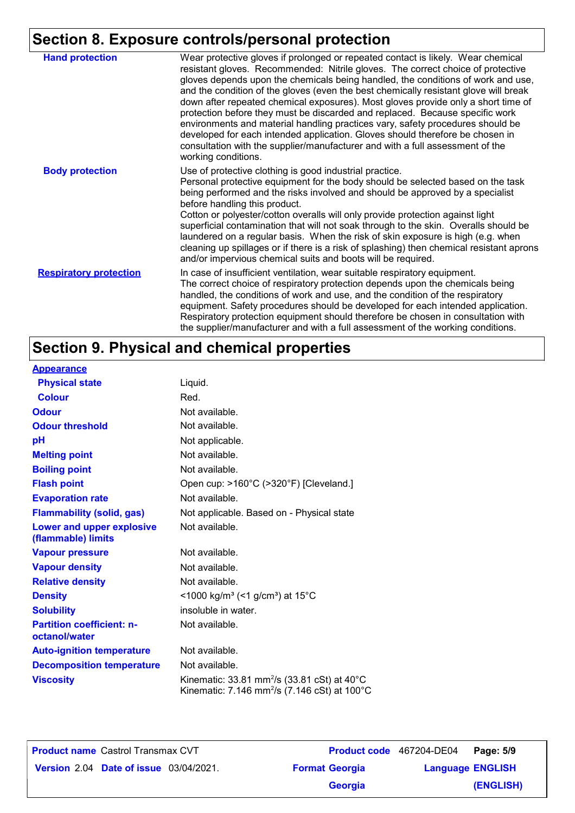## **Section 8. Exposure controls/personal protection**

| <b>Hand protection</b>        | Wear protective gloves if prolonged or repeated contact is likely. Wear chemical<br>resistant gloves. Recommended: Nitrile gloves. The correct choice of protective<br>gloves depends upon the chemicals being handled, the conditions of work and use,<br>and the condition of the gloves (even the best chemically resistant glove will break<br>down after repeated chemical exposures). Most gloves provide only a short time of<br>protection before they must be discarded and replaced. Because specific work<br>environments and material handling practices vary, safety procedures should be<br>developed for each intended application. Gloves should therefore be chosen in<br>consultation with the supplier/manufacturer and with a full assessment of the<br>working conditions. |
|-------------------------------|-------------------------------------------------------------------------------------------------------------------------------------------------------------------------------------------------------------------------------------------------------------------------------------------------------------------------------------------------------------------------------------------------------------------------------------------------------------------------------------------------------------------------------------------------------------------------------------------------------------------------------------------------------------------------------------------------------------------------------------------------------------------------------------------------|
| <b>Body protection</b>        | Use of protective clothing is good industrial practice.<br>Personal protective equipment for the body should be selected based on the task<br>being performed and the risks involved and should be approved by a specialist<br>before handling this product.<br>Cotton or polyester/cotton overalls will only provide protection against light<br>superficial contamination that will not soak through to the skin. Overalls should be<br>laundered on a regular basis. When the risk of skin exposure is high (e.g. when<br>cleaning up spillages or if there is a risk of splashing) then chemical resistant aprons<br>and/or impervious chemical suits and boots will be required.                                                                                                           |
| <b>Respiratory protection</b> | In case of insufficient ventilation, wear suitable respiratory equipment.<br>The correct choice of respiratory protection depends upon the chemicals being<br>handled, the conditions of work and use, and the condition of the respiratory<br>equipment. Safety procedures should be developed for each intended application.<br>Respiratory protection equipment should therefore be chosen in consultation with<br>the supplier/manufacturer and with a full assessment of the working conditions.                                                                                                                                                                                                                                                                                           |

## **Section 9. Physical and chemical properties**

| <b>Appearance</b>                                 |                                                                                                                               |
|---------------------------------------------------|-------------------------------------------------------------------------------------------------------------------------------|
| <b>Physical state</b>                             | Liquid.                                                                                                                       |
| <b>Colour</b>                                     | Red.                                                                                                                          |
| <b>Odour</b>                                      | Not available.                                                                                                                |
| <b>Odour threshold</b>                            | Not available.                                                                                                                |
| pH                                                | Not applicable.                                                                                                               |
| <b>Melting point</b>                              | Not available.                                                                                                                |
| <b>Boiling point</b>                              | Not available.                                                                                                                |
| <b>Flash point</b>                                | Open cup: >160°C (>320°F) [Cleveland.]                                                                                        |
| <b>Evaporation rate</b>                           | Not available.                                                                                                                |
| <b>Flammability (solid, gas)</b>                  | Not applicable. Based on - Physical state                                                                                     |
| Lower and upper explosive<br>(flammable) limits   | Not available.                                                                                                                |
| <b>Vapour pressure</b>                            | Not available.                                                                                                                |
| <b>Vapour density</b>                             | Not available.                                                                                                                |
| <b>Relative density</b>                           | Not available.                                                                                                                |
| <b>Density</b>                                    | <1000 kg/m <sup>3</sup> (<1 g/cm <sup>3</sup> ) at 15°C                                                                       |
| <b>Solubility</b>                                 | insoluble in water.                                                                                                           |
| <b>Partition coefficient: n-</b><br>octanol/water | Not available.                                                                                                                |
| <b>Auto-ignition temperature</b>                  | Not available.                                                                                                                |
| <b>Decomposition temperature</b>                  | Not available.                                                                                                                |
| <b>Viscosity</b>                                  | Kinematic: 33.81 mm <sup>2</sup> /s (33.81 cSt) at $40^{\circ}$ C<br>Kinematic: 7.146 mm <sup>2</sup> /s (7.146 cSt) at 100°C |

| <b>Product name</b> Castrol Transmax CVT      |  |                       | <b>Product code</b> 467204-DE04 | Page: 5/9 |
|-----------------------------------------------|--|-----------------------|---------------------------------|-----------|
| <b>Version 2.04 Date of issue 03/04/2021.</b> |  | <b>Format Georgia</b> | <b>Language ENGLISH</b>         |           |
|                                               |  | <b>Georgia</b>        |                                 | (ENGLISH) |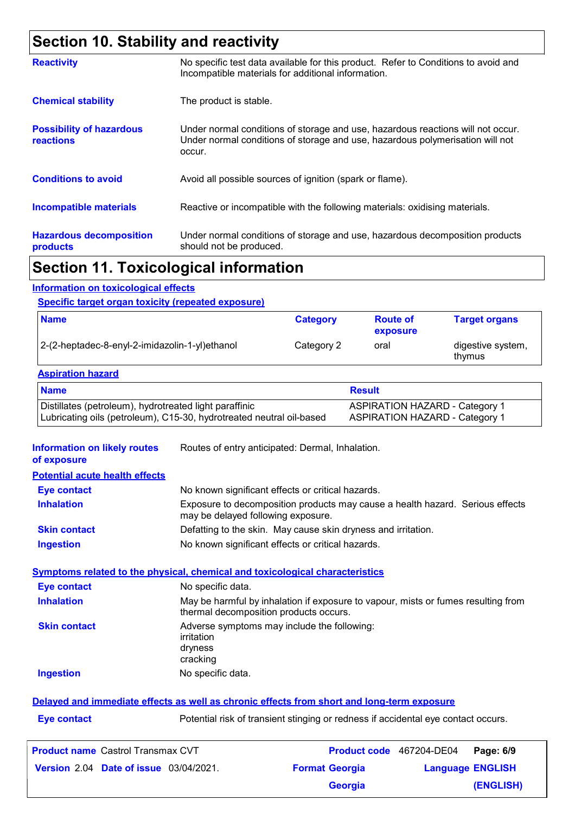### **Section 10. Stability and reactivity**

|                                                     | The continued to the contribution of the contribution of the contribution of the contribution of the                                                                       |
|-----------------------------------------------------|----------------------------------------------------------------------------------------------------------------------------------------------------------------------------|
| <b>Hazardous decomposition</b><br>products          | Under normal conditions of storage and use, hazardous decomposition products<br>should not be produced.                                                                    |
| <b>Incompatible materials</b>                       | Reactive or incompatible with the following materials: oxidising materials.                                                                                                |
| <b>Conditions to avoid</b>                          | Avoid all possible sources of ignition (spark or flame).                                                                                                                   |
| <b>Possibility of hazardous</b><br><b>reactions</b> | Under normal conditions of storage and use, hazardous reactions will not occur.<br>Under normal conditions of storage and use, hazardous polymerisation will not<br>occur. |
| <b>Chemical stability</b>                           | The product is stable.                                                                                                                                                     |
| <b>Reactivity</b>                                   | No specific test data available for this product. Refer to Conditions to avoid and<br>Incompatible materials for additional information.                                   |

### **Section 11. Toxicological information**

#### **Information on toxicological effects**

#### **Specific target organ toxicity (repeated exposure)**

| <b>Name</b>                                    | <b>Category</b> | <b>Route of</b><br>exposure | <b>Target organs</b>        |
|------------------------------------------------|-----------------|-----------------------------|-----------------------------|
| 2-(2-heptadec-8-enyl-2-imidazolin-1-yl)ethanol | Category 2      | oral                        | digestive system,<br>thymus |

#### **Aspiration hazard**

| <b>Name</b>                                                          | <b>Result</b>                         |
|----------------------------------------------------------------------|---------------------------------------|
| Distillates (petroleum), hydrotreated light paraffinic               | <b>ASPIRATION HAZARD - Category 1</b> |
| Lubricating oils (petroleum), C15-30, hydrotreated neutral oil-based | <b>ASPIRATION HAZARD - Category 1</b> |

**Information on likely routes**  Routes of entry anticipated: Dermal, Inhalation.

|  |  | of exposure |  |  |  |
|--|--|-------------|--|--|--|
|--|--|-------------|--|--|--|

| <b>Potential acute health effects</b> |
|---------------------------------------|
|---------------------------------------|

| Eye contact         | No known significant effects or critical hazards.                                                                   |
|---------------------|---------------------------------------------------------------------------------------------------------------------|
| <b>Inhalation</b>   | Exposure to decomposition products may cause a health hazard. Serious effects<br>may be delayed following exposure. |
| <b>Skin contact</b> | Defatting to the skin. May cause skin dryness and irritation.                                                       |
| <b>Ingestion</b>    | No known significant effects or critical hazards.                                                                   |

#### **Symptoms related to the physical, chemical and toxicological characteristics**

| <b>Eye contact</b>  | No specific data.                                                                                                           |
|---------------------|-----------------------------------------------------------------------------------------------------------------------------|
| <b>Inhalation</b>   | May be harmful by inhalation if exposure to vapour, mists or fumes resulting from<br>thermal decomposition products occurs. |
| <b>Skin contact</b> | Adverse symptoms may include the following:<br>irritation<br>dryness<br>cracking                                            |
| <b>Ingestion</b>    | No specific data.                                                                                                           |
|                     |                                                                                                                             |

#### **Delayed and immediate effects as well as chronic effects from short and long-term exposure**

**Eye contact Exercise 2018** Potential risk of transient stinging or redness if accidental eye contact occurs.

| <b>Product name</b> Castrol Transmax CVT      |                       | <b>Product code</b> 467204-DE04 | Page: 6/9 |
|-----------------------------------------------|-----------------------|---------------------------------|-----------|
| <b>Version 2.04 Date of issue 03/04/2021.</b> | <b>Format Georgia</b> | <b>Language ENGLISH</b>         |           |
|                                               | Georgia               |                                 | (ENGLISH) |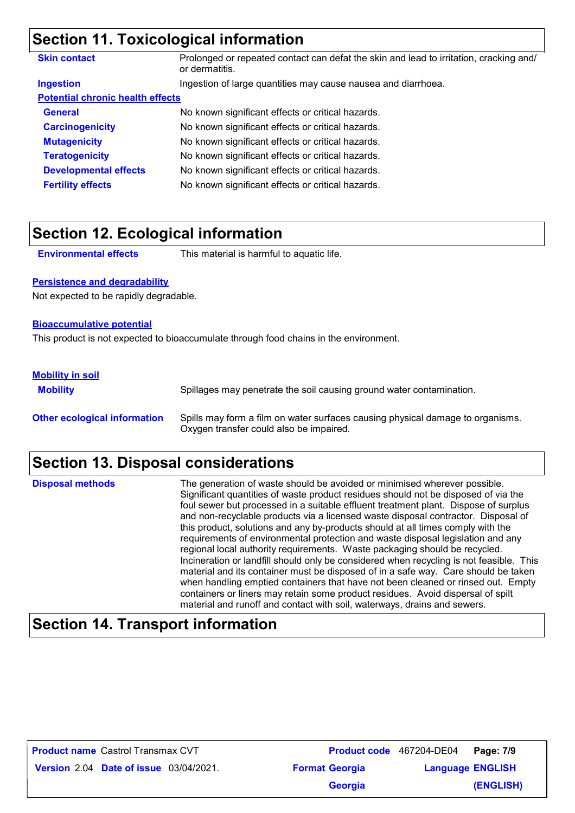### **Section 11. Toxicological information**

| <b>Skin contact</b>                     | Prolonged or repeated contact can defat the skin and lead to irritation, cracking and/<br>or dermatitis. |
|-----------------------------------------|----------------------------------------------------------------------------------------------------------|
| <b>Ingestion</b>                        | Ingestion of large quantities may cause nausea and diarrhoea.                                            |
| <b>Potential chronic health effects</b> |                                                                                                          |
| <b>General</b>                          | No known significant effects or critical hazards.                                                        |
| <b>Carcinogenicity</b>                  | No known significant effects or critical hazards.                                                        |
| <b>Mutagenicity</b>                     | No known significant effects or critical hazards.                                                        |
| <b>Teratogenicity</b>                   | No known significant effects or critical hazards.                                                        |
| <b>Developmental effects</b>            | No known significant effects or critical hazards.                                                        |
| <b>Fertility effects</b>                | No known significant effects or critical hazards.                                                        |

### **Section 12. Ecological information**

**Environmental effects** This material is harmful to aquatic life.

#### **Persistence and degradability**

Not expected to be rapidly degradable.

#### **Bioaccumulative potential**

This product is not expected to bioaccumulate through food chains in the environment.

#### **Mobility in soil**

**Mobility** Spillages may penetrate the soil causing ground water contamination. **Other ecological information** Spills may form a film on water surfaces causing physical damage to organisms. Oxygen transfer could also be impaired.

### **Section 13. Disposal considerations**

The generation of waste should be avoided or minimised wherever possible. Significant quantities of waste product residues should not be disposed of via the foul sewer but processed in a suitable effluent treatment plant. Dispose of surplus and non-recyclable products via a licensed waste disposal contractor. Disposal of this product, solutions and any by-products should at all times comply with the requirements of environmental protection and waste disposal legislation and any regional local authority requirements. Waste packaging should be recycled. Incineration or landfill should only be considered when recycling is not feasible. This material and its container must be disposed of in a safe way. Care should be taken when handling emptied containers that have not been cleaned or rinsed out. Empty containers or liners may retain some product residues. Avoid dispersal of spilt material and runoff and contact with soil, waterways, drains and sewers. **Disposal methods**

### **Section 14. Transport information**

| <b>Product name Castrol Transmax CVT</b>      |                       | Product code 467204-DE04 Page: 7/9 |           |
|-----------------------------------------------|-----------------------|------------------------------------|-----------|
| <b>Version 2.04 Date of issue 03/04/2021.</b> | <b>Format Georgia</b> | <b>Language ENGLISH</b>            |           |
|                                               | <b>Georgia</b>        |                                    | (ENGLISH) |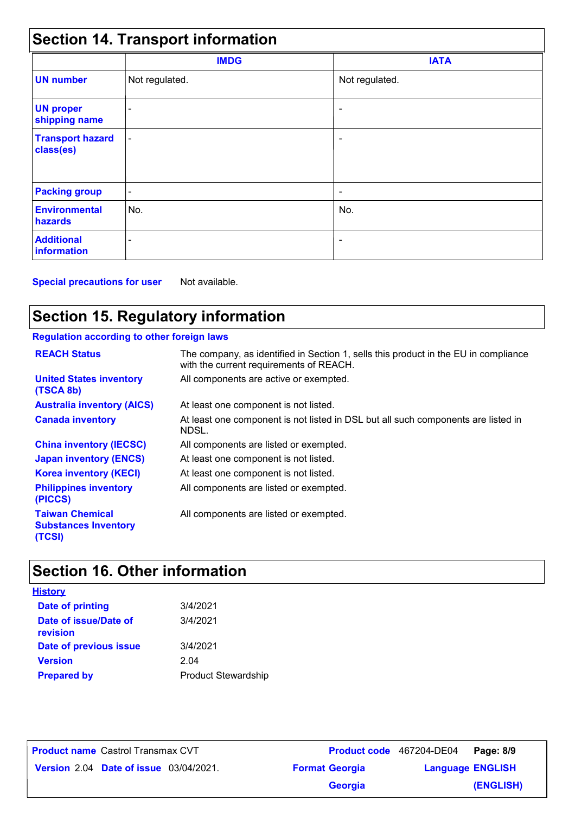| <b>Section 14. Transport information</b> |                          |                          |  |
|------------------------------------------|--------------------------|--------------------------|--|
|                                          | <b>IMDG</b>              | <b>IATA</b>              |  |
| <b>UN number</b>                         | Not regulated.           | Not regulated.           |  |
| <b>UN proper</b><br>shipping name        |                          |                          |  |
| <b>Transport hazard</b><br>class(es)     | $\overline{\phantom{a}}$ | ٠                        |  |
| <b>Packing group</b>                     | $\overline{\phantom{a}}$ | $\overline{\phantom{a}}$ |  |
| <b>Environmental</b><br>hazards          | No.                      | No.                      |  |
| <b>Additional</b><br><b>information</b>  |                          | $\overline{\phantom{a}}$ |  |

**Special precautions for user** Not available.

### **Section 15. Regulatory information**

### **Regulation according to other foreign laws**

| <b>REACH Status</b>                                             | The company, as identified in Section 1, sells this product in the EU in compliance<br>with the current requirements of REACH. |
|-----------------------------------------------------------------|--------------------------------------------------------------------------------------------------------------------------------|
| <b>United States inventory</b><br>(TSCA 8b)                     | All components are active or exempted.                                                                                         |
| <b>Australia inventory (AICS)</b>                               | At least one component is not listed.                                                                                          |
| <b>Canada inventory</b>                                         | At least one component is not listed in DSL but all such components are listed in<br>NDSL.                                     |
| <b>China inventory (IECSC)</b>                                  | All components are listed or exempted.                                                                                         |
| <b>Japan inventory (ENCS)</b>                                   | At least one component is not listed.                                                                                          |
| <b>Korea inventory (KECI)</b>                                   | At least one component is not listed.                                                                                          |
| <b>Philippines inventory</b><br>(PICCS)                         | All components are listed or exempted.                                                                                         |
| <b>Taiwan Chemical</b><br><b>Substances Inventory</b><br>(TCSI) | All components are listed or exempted.                                                                                         |

### **Section 16. Other information**

| <u>History</u>                    |                            |
|-----------------------------------|----------------------------|
| Date of printing                  | 3/4/2021                   |
| Date of issue/Date of<br>revision | 3/4/2021                   |
| Date of previous issue            | 3/4/2021                   |
| <b>Version</b>                    | 2.04                       |
| <b>Prepared by</b>                | <b>Product Stewardship</b> |

**Date of issue** 03/04/2021. **Version** 2.04 **Format Georgia Language** Castrol Transmax CVT **Page: 8/9** 467204-DE04 **Language ENGLISH (ENGLISH) Product name** Castrol Transmax CVT **Georgia**